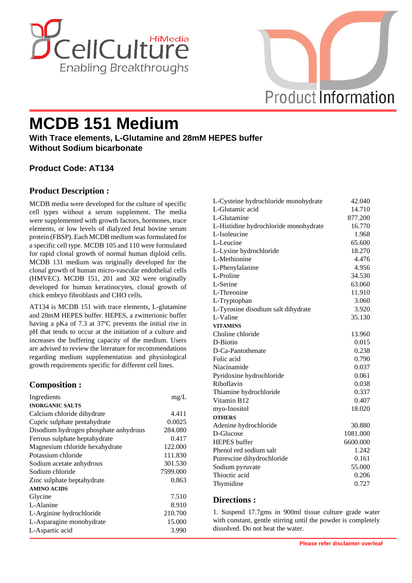



# **MCDB 151 Medium**

**With Trace elements, L-Glutamine and 28mM HEPES buffer Without Sodium bicarbonate**

# **Product Code: AT134**

# **Product Description :**

MCDB media were developed for the culture of specific cell types without a serum supplement. The media were supplemented with growth factors, hormones, trace elements, or low levels of dialyzed fetal bovine serum protein (FBSP). Each MCDB medium was formulated for a specific cell type. MCDB 105 and 110 were formulated for rapid clonal growth of normal human diploid cells. MCDB 131 medium was originally developed for the clonal growth of human micro-vascular endothelial cells (HMVEC). MCDB 151, 201 and 302 were originally developed for human keratinocytes, clonal growth of chick embryo fibroblasts and CHO cells.

AT134 is MCDB 151 with trace elements, L-glutamine and 28mM HEPES buffer. HEPES, a zwitterionic buffer having a pKa of 7.3 at 37ºC prevents the initial rise in pH that tends to occur at the initiation of a culture and increases the buffering capacity of the medium. Users are advised to review the literature for recommendations regarding medium supplementation and physiological growth requirements specific for different cell lines.

## **Composition :**

| Ingredients                           | mg/L     |
|---------------------------------------|----------|
| <b>INORGANIC SALTS</b>                |          |
| Calcium chloride dihydrate            | 4.411    |
| Cupric sulphate pentahydrate          | 0.0025   |
| Disodium hydrogen phosphate anhydrous | 284.080  |
| Ferrous sulphate heptahydrate         | 0.417    |
| Magnesium chloride hexahydrate        | 122.000  |
| Potassium chloride                    | 111.830  |
| Sodium acetate anhydrous              | 301.530  |
| Sodium chloride                       | 7599.000 |
| Zinc sulphate heptahydrate            | 0.863    |
| <b>AMINO ACIDS</b>                    |          |
| Glycine                               | 7.510    |
| L-Alanine                             | 8.910    |
| L-Arginine hydrochloride              | 210.700  |
| L-Asparagine monohydrate              | 15.000   |
| L-Aspartic acid                       | 3.990    |

| L-Cysteine hydrochloride monohydrate  | 42.040   |
|---------------------------------------|----------|
| L-Glutamic acid                       | 14.710   |
| L-Glutamine                           | 877.200  |
| L-Histidine hydrochloride monohydrate | 16.770   |
| L-Isoleucine                          | 1.968    |
| L-Leucine                             | 65.600   |
| L-Lysine hydrochloride                | 18.270   |
| L-Methionine                          | 4.476    |
| L-Phenylalanine                       | 4.956    |
| L-Proline                             | 34.530   |
| L-Serine                              | 63.060   |
| L-Threonine                           | 11.910   |
| L-Tryptophan                          | 3.060    |
| L-Tyrosine disodium salt dihydrate    | 3.920    |
| L-Valine                              | 35.130   |
| <b>VITAMINS</b>                       |          |
| Choline chloride                      | 13.960   |
| D-Biotin                              | 0.015    |
| D-Ca-Pantothenate                     | 0.238    |
| Folic acid                            | 0.790    |
| Niacinamide                           | 0.037    |
| Pyridoxine hydrochloride              | 0.061    |
| Riboflavin                            | 0.038    |
| Thiamine hydrochloride                | 0.337    |
| Vitamin B12                           | 0.407    |
| myo-Inositol                          | 18.020   |
| <b>OTHERS</b>                         |          |
| Adenine hydrochloride                 | 30.880   |
| D-Glucose                             | 1081.000 |
| <b>HEPES</b> buffer                   | 6600.000 |
| Phenol red sodium salt                | 1.242    |
| Putrescine dihydrochloride            | 0.161    |
| Sodium pyruvate                       | 55.000   |
| Thioctic acid                         | 0.206    |
| Thymidine                             | 0.727    |

## **Directions :**

1. Suspend 17.7gms in 900ml tissue culture grade water with constant, gentle stirring until the powder is completely dissolved. Do not heat the water.